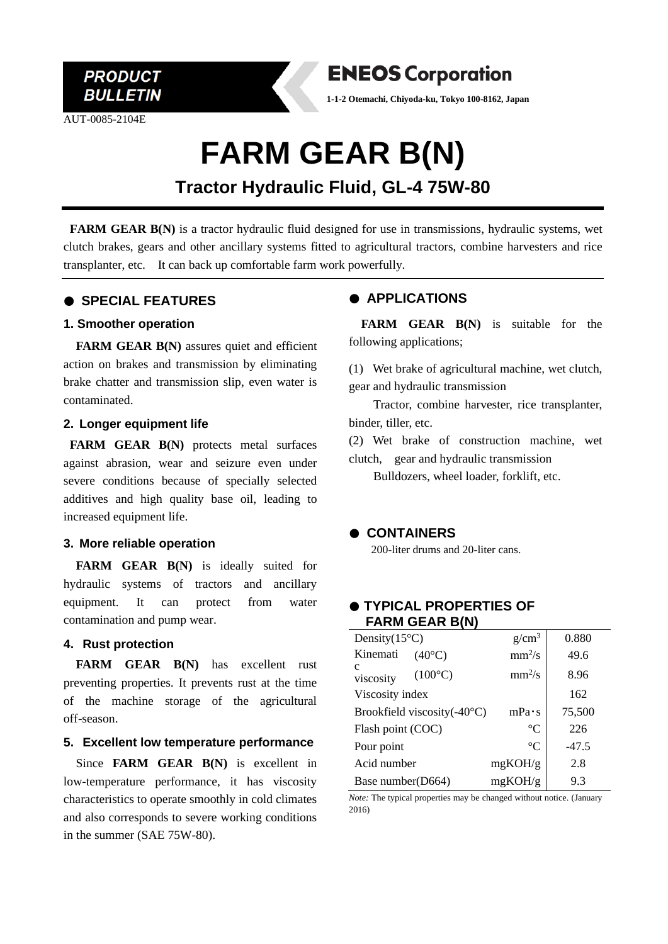

AUT-0085-2104E



**1-1-2 Otemachi, Chiyoda-ku, Tokyo 100-8162, Japan**

# **FARM GEAR B(N)**

# **Tractor Hydraulic Fluid, GL-4 75W-80**

**FARM GEAR B(N)** is a tractor hydraulic fluid designed for use in transmissions, hydraulic systems, wet clutch brakes, gears and other ancillary systems fitted to agricultural tractors, combine harvesters and rice transplanter, etc. It can back up comfortable farm work powerfully.

# ● **SPECIAL FEATURES**

#### **1. Smoother operation**

**FARM GEAR B(N)** assures quiet and efficient action on brakes and transmission by eliminating brake chatter and transmission slip, even water is contaminated.

# **2. Longer equipment life**

**FARM GEAR B(N)** protects metal surfaces against abrasion, wear and seizure even under severe conditions because of specially selected additives and high quality base oil, leading to increased equipment life.

# **3. More reliable operation**

**FARM GEAR B(N)** is ideally suited for hydraulic systems of tractors and ancillary equipment. It can protect from water contamination and pump wear.

#### **4. Rust protection**

**FARM GEAR B(N)** has excellent rust preventing properties. It prevents rust at the time of the machine storage of the agricultural off-season.

# **5. Excellent low temperature performance**

Since **FARM GEAR B(N)** is excellent in low-temperature performance, it has viscosity characteristics to operate smoothly in cold climates and also corresponds to severe working conditions in the summer (SAE 75W-80).

# ● **APPLICATIONS**

**FARM GEAR B(N)** is suitable for the following applications;

(1) Wet brake of agricultural machine, wet clutch, gear and hydraulic transmission

Tractor, combine harvester, rice transplanter, binder, tiller, etc.

(2) Wet brake of construction machine, wet clutch, gear and hydraulic transmission

Bulldozers, wheel loader, forklift, etc.

# ● **CONTAINERS**

200-liter drums and 20-liter cans.

# ● **TYPICAL PROPERTIES OF FARM GEAR B(N)**

| Density $(15^{\circ}C)$               | g/cm <sup>3</sup>  | 0.880   |
|---------------------------------------|--------------------|---------|
| Kinemati<br>$(40^{\circ}C)$           | mm <sup>2</sup> /s | 49.6    |
| C<br>$(100^{\circ}C)$<br>viscosity    | $mm^2/s$           | 8.96    |
| Viscosity index                       |                    | 162     |
| Brookfield viscosity $(-40^{\circ}C)$ | $mPa \cdot s$      | 75,500  |
| Flash point (COC)                     | $\rm ^{\circ}C$    | 226     |
| Pour point                            | $^{\circ}C$        | $-47.5$ |
| Acid number                           | mgKOH/g            | 2.8     |
| Base number(D664)                     | mgKOH/g            | 9.3     |

*Note:* The typical properties may be changed without notice. (January 2016)